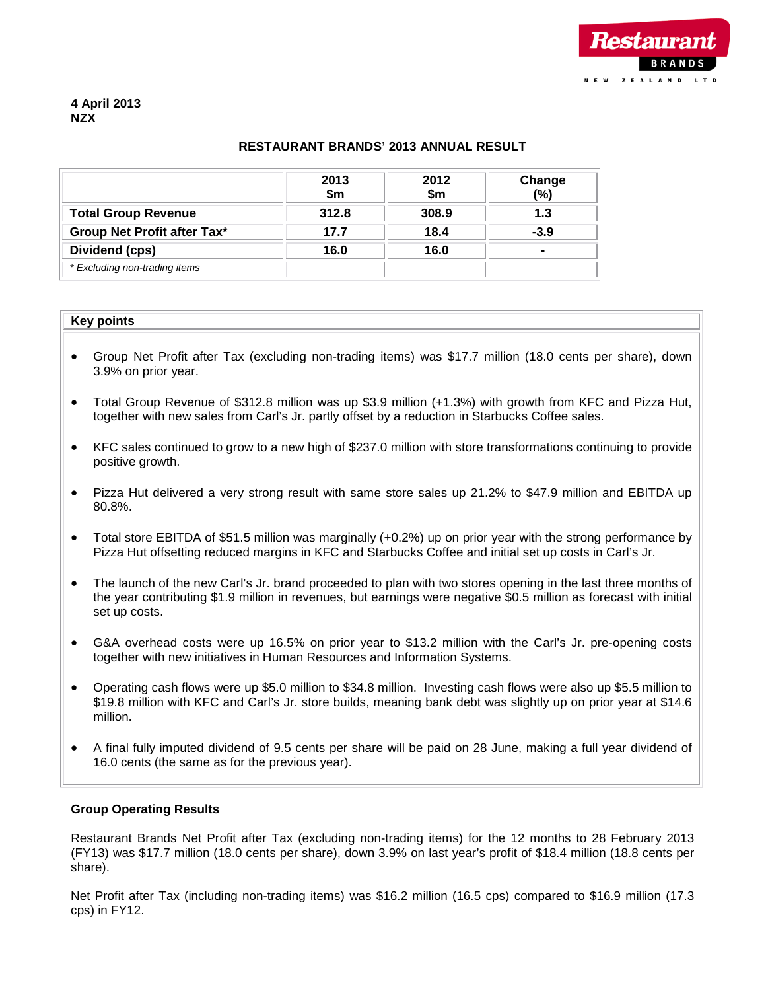

# **RESTAURANT BRANDS' 2013 ANNUAL RESULT**

|                                    | 2013<br>\$m\$ | 2012<br>\$m | Change<br>(%) |
|------------------------------------|---------------|-------------|---------------|
| <b>Total Group Revenue</b>         | 312.8         | 308.9       | 1.3           |
| <b>Group Net Profit after Tax*</b> | 17.7          | 18.4        | $-3.9$        |
| Dividend (cps)                     | 16.0          | 16.0        |               |
| * Excluding non-trading items      |               |             |               |

#### **Key points**

- Group Net Profit after Tax (excluding non-trading items) was \$17.7 million (18.0 cents per share), down 3.9% on prior year.
- Total Group Revenue of \$312.8 million was up \$3.9 million (+1.3%) with growth from KFC and Pizza Hut, together with new sales from Carl's Jr. partly offset by a reduction in Starbucks Coffee sales.
- KFC sales continued to grow to a new high of \$237.0 million with store transformations continuing to provide positive growth.
- Pizza Hut delivered a very strong result with same store sales up 21.2% to \$47.9 million and EBITDA up 80.8%.
- Total store EBITDA of \$51.5 million was marginally (+0.2%) up on prior year with the strong performance by Pizza Hut offsetting reduced margins in KFC and Starbucks Coffee and initial set up costs in Carl's Jr.
- The launch of the new Carl's Jr. brand proceeded to plan with two stores opening in the last three months of the year contributing \$1.9 million in revenues, but earnings were negative \$0.5 million as forecast with initial set up costs.
- G&A overhead costs were up 16.5% on prior year to \$13.2 million with the Carl's Jr. pre-opening costs together with new initiatives in Human Resources and Information Systems.
- Operating cash flows were up \$5.0 million to \$34.8 million. Investing cash flows were also up \$5.5 million to \$19.8 million with KFC and Carl's Jr. store builds, meaning bank debt was slightly up on prior year at \$14.6 million.
- A final fully imputed dividend of 9.5 cents per share will be paid on 28 June, making a full year dividend of 16.0 cents (the same as for the previous year).

#### **Group Operating Results**

Restaurant Brands Net Profit after Tax (excluding non-trading items) for the 12 months to 28 February 2013 (FY13) was \$17.7 million (18.0 cents per share), down 3.9% on last year's profit of \$18.4 million (18.8 cents per share).

Net Profit after Tax (including non-trading items) was \$16.2 million (16.5 cps) compared to \$16.9 million (17.3 cps) in FY12.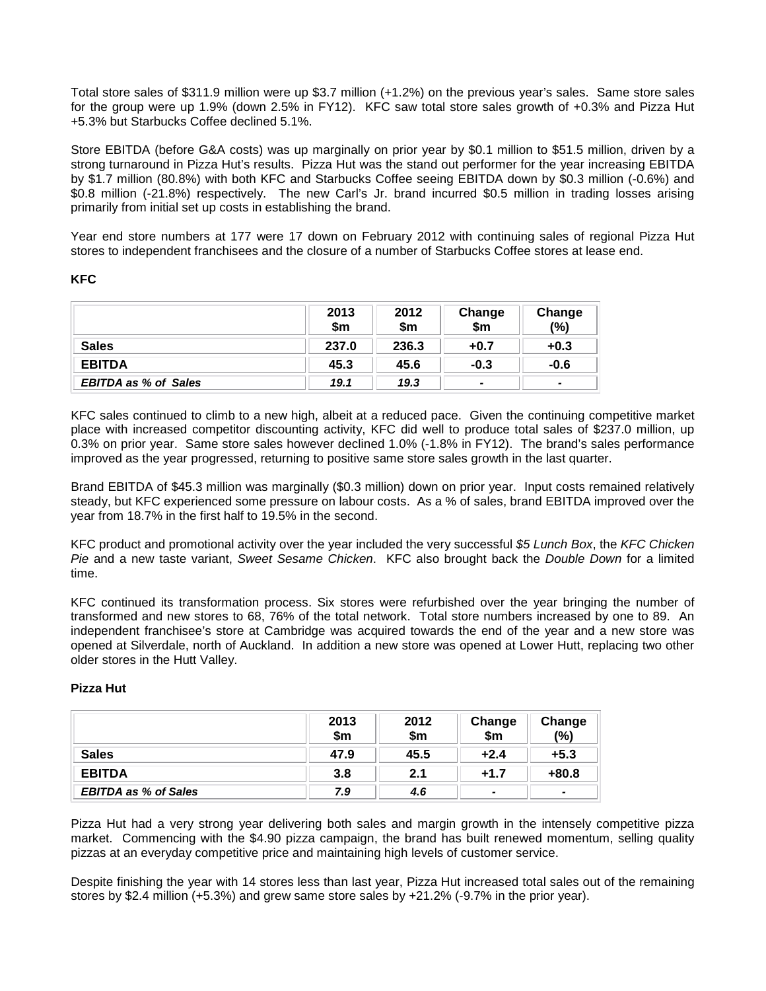Total store sales of \$311.9 million were up \$3.7 million (+1.2%) on the previous year's sales. Same store sales for the group were up 1.9% (down 2.5% in FY12). KFC saw total store sales growth of +0.3% and Pizza Hut +5.3% but Starbucks Coffee declined 5.1%.

Store EBITDA (before G&A costs) was up marginally on prior year by \$0.1 million to \$51.5 million, driven by a strong turnaround in Pizza Hut's results. Pizza Hut was the stand out performer for the year increasing EBITDA by \$1.7 million (80.8%) with both KFC and Starbucks Coffee seeing EBITDA down by \$0.3 million (-0.6%) and \$0.8 million (-21.8%) respectively. The new Carl's Jr. brand incurred \$0.5 million in trading losses arising primarily from initial set up costs in establishing the brand.

Year end store numbers at 177 were 17 down on February 2012 with continuing sales of regional Pizza Hut stores to independent franchisees and the closure of a number of Starbucks Coffee stores at lease end.

## **KFC**

|                             | 2013<br>\$m | 2012<br>\$m | Change<br>\$m            | Change<br>(%) |
|-----------------------------|-------------|-------------|--------------------------|---------------|
| <b>Sales</b>                | 237.0       | 236.3       | $+0.7$                   | $+0.3$        |
| <b>EBITDA</b>               | 45.3        | 45.6        | $-0.3$                   | $-0.6$        |
| <b>EBITDA as % of Sales</b> | 19.1        | 19.3        | $\overline{\phantom{0}}$ | -             |

KFC sales continued to climb to a new high, albeit at a reduced pace. Given the continuing competitive market place with increased competitor discounting activity, KFC did well to produce total sales of \$237.0 million, up 0.3% on prior year. Same store sales however declined 1.0% (-1.8% in FY12). The brand's sales performance improved as the year progressed, returning to positive same store sales growth in the last quarter.

Brand EBITDA of \$45.3 million was marginally (\$0.3 million) down on prior year. Input costs remained relatively steady, but KFC experienced some pressure on labour costs. As a % of sales, brand EBITDA improved over the year from 18.7% in the first half to 19.5% in the second.

KFC product and promotional activity over the year included the very successful *\$5 Lunch Box*, the *KFC Chicken Pie* and a new taste variant, *Sweet Sesame Chicken*. KFC also brought back the *Double Down* for a limited time.

KFC continued its transformation process. Six stores were refurbished over the year bringing the number of transformed and new stores to 68, 76% of the total network. Total store numbers increased by one to 89. An independent franchisee's store at Cambridge was acquired towards the end of the year and a new store was opened at Silverdale, north of Auckland. In addition a new store was opened at Lower Hutt, replacing two other older stores in the Hutt Valley.

## **Pizza Hut**

|                             | 2013<br>\$m | 2012<br>\$m | Change<br>\$m  | Change<br>(%)  |
|-----------------------------|-------------|-------------|----------------|----------------|
| <b>Sales</b>                | 47.9        | 45.5        | $+2.4$         | $+5.3$         |
| <b>EBITDA</b>               | 3.8         | 2.1         | $+1.7$         | $+80.8$        |
| <b>EBITDA as % of Sales</b> | 7.9         | 4.6         | $\blacksquare$ | $\blacksquare$ |

Pizza Hut had a very strong year delivering both sales and margin growth in the intensely competitive pizza market. Commencing with the \$4.90 pizza campaign, the brand has built renewed momentum, selling quality pizzas at an everyday competitive price and maintaining high levels of customer service.

Despite finishing the year with 14 stores less than last year, Pizza Hut increased total sales out of the remaining stores by \$2.4 million (+5.3%) and grew same store sales by +21.2% (-9.7% in the prior year).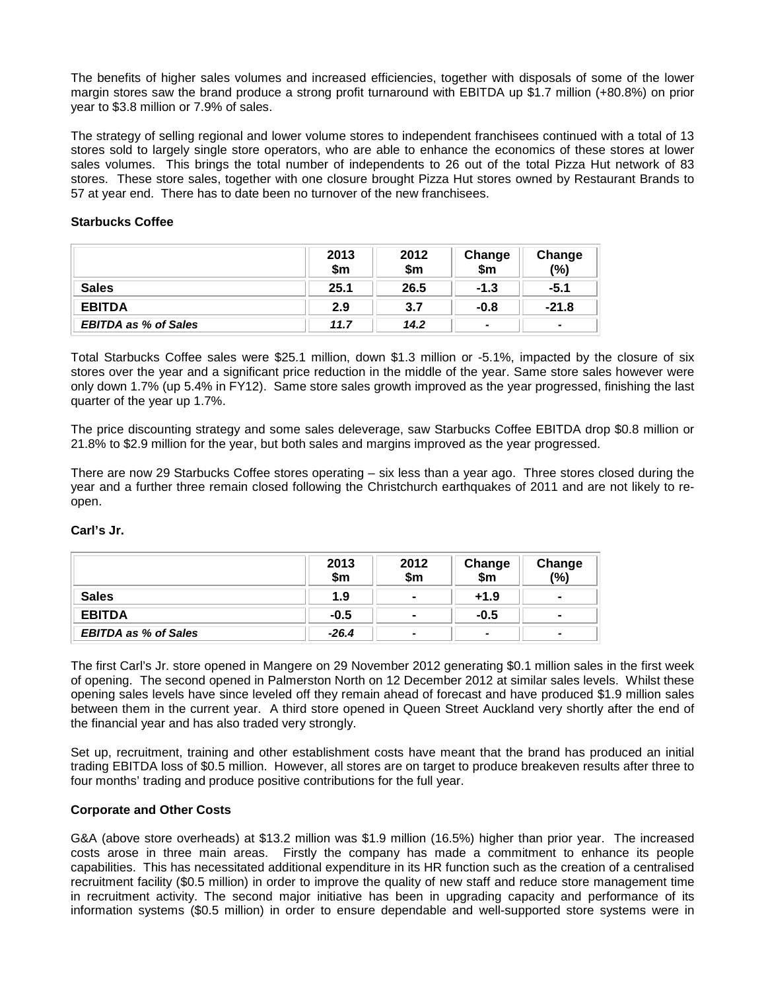The benefits of higher sales volumes and increased efficiencies, together with disposals of some of the lower margin stores saw the brand produce a strong profit turnaround with EBITDA up \$1.7 million (+80.8%) on prior year to \$3.8 million or 7.9% of sales.

The strategy of selling regional and lower volume stores to independent franchisees continued with a total of 13 stores sold to largely single store operators, who are able to enhance the economics of these stores at lower sales volumes. This brings the total number of independents to 26 out of the total Pizza Hut network of 83 stores. These store sales, together with one closure brought Pizza Hut stores owned by Restaurant Brands to 57 at year end. There has to date been no turnover of the new franchisees.

## **Starbucks Coffee**

|                             | 2013<br>\$m | 2012<br>\$m | Change<br>\$m         | Change<br>(%) |
|-----------------------------|-------------|-------------|-----------------------|---------------|
| <b>Sales</b>                | 25.1        | 26.5        | $-1.3$                | $-5.1$        |
| <b>EBITDA</b>               | 2.9         | 3.7         | $-0.8$                | $-21.8$       |
| <b>EBITDA as % of Sales</b> | 11.7        | 14.2        | $\tilde{\phantom{a}}$ |               |

Total Starbucks Coffee sales were \$25.1 million, down \$1.3 million or -5.1%, impacted by the closure of six stores over the year and a significant price reduction in the middle of the year. Same store sales however were only down 1.7% (up 5.4% in FY12). Same store sales growth improved as the year progressed, finishing the last quarter of the year up 1.7%.

The price discounting strategy and some sales deleverage, saw Starbucks Coffee EBITDA drop \$0.8 million or 21.8% to \$2.9 million for the year, but both sales and margins improved as the year progressed.

There are now 29 Starbucks Coffee stores operating – six less than a year ago. Three stores closed during the year and a further three remain closed following the Christchurch earthquakes of 2011 and are not likely to reopen.

|                             | 2013<br>\$m | 2012<br>\$m           | Change<br>\$m            | Change<br>(%)  |
|-----------------------------|-------------|-----------------------|--------------------------|----------------|
| <b>Sales</b>                | 1.9         | $\blacksquare$        | $+1.9$                   | $\blacksquare$ |
| <b>EBITDA</b>               | $-0.5$      | $\blacksquare$        | $-0.5$                   | $\blacksquare$ |
| <b>EBITDA as % of Sales</b> | $-26.4$     | $\tilde{\phantom{a}}$ | $\overline{\phantom{0}}$ |                |

# **Carl's Jr.**

The first Carl's Jr. store opened in Mangere on 29 November 2012 generating \$0.1 million sales in the first week of opening. The second opened in Palmerston North on 12 December 2012 at similar sales levels. Whilst these opening sales levels have since leveled off they remain ahead of forecast and have produced \$1.9 million sales between them in the current year. A third store opened in Queen Street Auckland very shortly after the end of the financial year and has also traded very strongly.

Set up, recruitment, training and other establishment costs have meant that the brand has produced an initial trading EBITDA loss of \$0.5 million. However, all stores are on target to produce breakeven results after three to four months' trading and produce positive contributions for the full year.

## **Corporate and Other Costs**

G&A (above store overheads) at \$13.2 million was \$1.9 million (16.5%) higher than prior year. The increased costs arose in three main areas. Firstly the company has made a commitment to enhance its people capabilities. This has necessitated additional expenditure in its HR function such as the creation of a centralised recruitment facility (\$0.5 million) in order to improve the quality of new staff and reduce store management time in recruitment activity. The second major initiative has been in upgrading capacity and performance of its information systems (\$0.5 million) in order to ensure dependable and well-supported store systems were in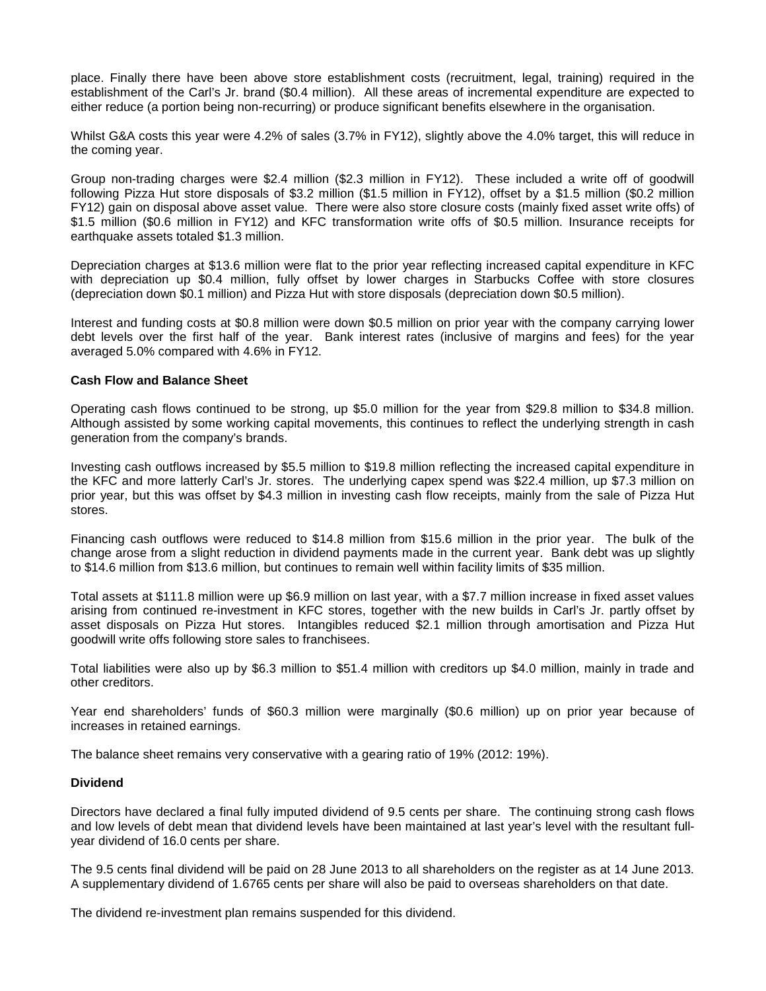place. Finally there have been above store establishment costs (recruitment, legal, training) required in the establishment of the Carl's Jr. brand (\$0.4 million). All these areas of incremental expenditure are expected to either reduce (a portion being non-recurring) or produce significant benefits elsewhere in the organisation.

Whilst G&A costs this year were 4.2% of sales (3.7% in FY12), slightly above the 4.0% target, this will reduce in the coming year.

Group non-trading charges were \$2.4 million (\$2.3 million in FY12). These included a write off of goodwill following Pizza Hut store disposals of \$3.2 million (\$1.5 million in FY12), offset by a \$1.5 million (\$0.2 million FY12) gain on disposal above asset value. There were also store closure costs (mainly fixed asset write offs) of \$1.5 million (\$0.6 million in FY12) and KFC transformation write offs of \$0.5 million. Insurance receipts for earthquake assets totaled \$1.3 million.

Depreciation charges at \$13.6 million were flat to the prior year reflecting increased capital expenditure in KFC with depreciation up \$0.4 million, fully offset by lower charges in Starbucks Coffee with store closures (depreciation down \$0.1 million) and Pizza Hut with store disposals (depreciation down \$0.5 million).

Interest and funding costs at \$0.8 million were down \$0.5 million on prior year with the company carrying lower debt levels over the first half of the year. Bank interest rates (inclusive of margins and fees) for the year averaged 5.0% compared with 4.6% in FY12.

#### **Cash Flow and Balance Sheet**

Operating cash flows continued to be strong, up \$5.0 million for the year from \$29.8 million to \$34.8 million. Although assisted by some working capital movements, this continues to reflect the underlying strength in cash generation from the company's brands.

Investing cash outflows increased by \$5.5 million to \$19.8 million reflecting the increased capital expenditure in the KFC and more latterly Carl's Jr. stores. The underlying capex spend was \$22.4 million, up \$7.3 million on prior year, but this was offset by \$4.3 million in investing cash flow receipts, mainly from the sale of Pizza Hut stores.

Financing cash outflows were reduced to \$14.8 million from \$15.6 million in the prior year. The bulk of the change arose from a slight reduction in dividend payments made in the current year. Bank debt was up slightly to \$14.6 million from \$13.6 million, but continues to remain well within facility limits of \$35 million.

Total assets at \$111.8 million were up \$6.9 million on last year, with a \$7.7 million increase in fixed asset values arising from continued re-investment in KFC stores, together with the new builds in Carl's Jr. partly offset by asset disposals on Pizza Hut stores. Intangibles reduced \$2.1 million through amortisation and Pizza Hut goodwill write offs following store sales to franchisees.

Total liabilities were also up by \$6.3 million to \$51.4 million with creditors up \$4.0 million, mainly in trade and other creditors.

Year end shareholders' funds of \$60.3 million were marginally (\$0.6 million) up on prior year because of increases in retained earnings.

The balance sheet remains very conservative with a gearing ratio of 19% (2012: 19%).

#### **Dividend**

Directors have declared a final fully imputed dividend of 9.5 cents per share. The continuing strong cash flows and low levels of debt mean that dividend levels have been maintained at last year's level with the resultant fullyear dividend of 16.0 cents per share.

The 9.5 cents final dividend will be paid on 28 June 2013 to all shareholders on the register as at 14 June 2013. A supplementary dividend of 1.6765 cents per share will also be paid to overseas shareholders on that date.

The dividend re-investment plan remains suspended for this dividend.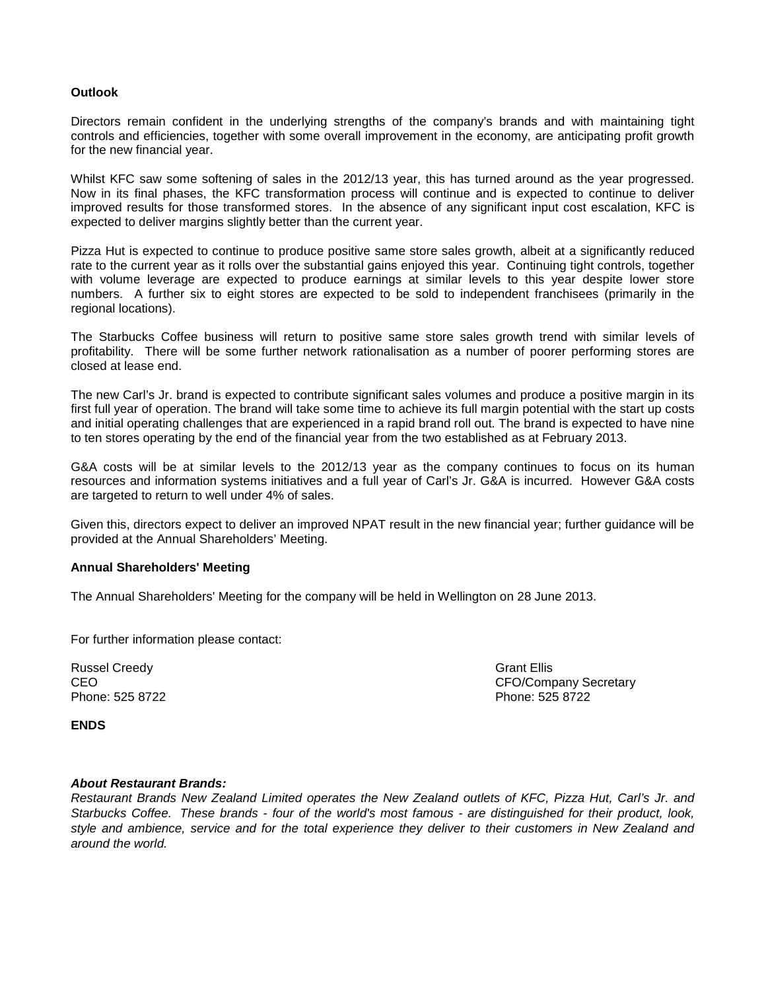# **Outlook**

Directors remain confident in the underlying strengths of the company's brands and with maintaining tight controls and efficiencies, together with some overall improvement in the economy, are anticipating profit growth for the new financial year.

Whilst KFC saw some softening of sales in the 2012/13 year, this has turned around as the year progressed. Now in its final phases, the KFC transformation process will continue and is expected to continue to deliver improved results for those transformed stores. In the absence of any significant input cost escalation, KFC is expected to deliver margins slightly better than the current year.

Pizza Hut is expected to continue to produce positive same store sales growth, albeit at a significantly reduced rate to the current year as it rolls over the substantial gains enjoyed this year. Continuing tight controls, together with volume leverage are expected to produce earnings at similar levels to this year despite lower store numbers. A further six to eight stores are expected to be sold to independent franchisees (primarily in the regional locations).

The Starbucks Coffee business will return to positive same store sales growth trend with similar levels of profitability. There will be some further network rationalisation as a number of poorer performing stores are closed at lease end.

The new Carl's Jr. brand is expected to contribute significant sales volumes and produce a positive margin in its first full year of operation. The brand will take some time to achieve its full margin potential with the start up costs and initial operating challenges that are experienced in a rapid brand roll out. The brand is expected to have nine to ten stores operating by the end of the financial year from the two established as at February 2013.

G&A costs will be at similar levels to the 2012/13 year as the company continues to focus on its human resources and information systems initiatives and a full year of Carl's Jr. G&A is incurred. However G&A costs are targeted to return to well under 4% of sales.

Given this, directors expect to deliver an improved NPAT result in the new financial year; further guidance will be provided at the Annual Shareholders' Meeting.

## **Annual Shareholders' Meeting**

The Annual Shareholders' Meeting for the company will be held in Wellington on 28 June 2013.

For further information please contact:

Russel Creedy **Grant Ellis** Creedy **Grant Ellis** Creedy **Grant Ellis** Phone: 525 8722

CEO CEO COMPANY Secretary<br>
Phone: 525 8722 Phone: 525 8722

**ENDS**

# *About Restaurant Brands:*

*Restaurant Brands New Zealand Limited operates the New Zealand outlets of KFC, Pizza Hut, Carl's Jr. and Starbucks Coffee. These brands - four of the world's most famous - are distinguished for their product, look, style and ambience, service and for the total experience they deliver to their customers in New Zealand and around the world.*